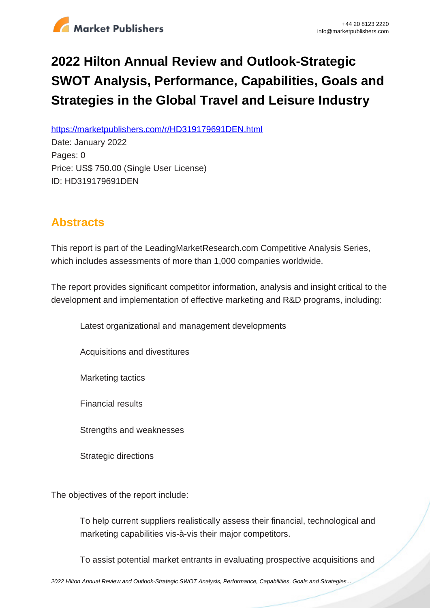

## **2022 Hilton Annual Review and Outlook-Strategic SWOT Analysis, Performance, Capabilities, Goals and Strategies in the Global Travel and Leisure Industry**

https://marketpublishers.com/r/HD319179691DEN.html

Date: January 2022 Pages: 0 Price: US\$ 750.00 (Single User License) ID: HD319179691DEN

## **Abstracts**

This report is part of the LeadingMarketResearch.com Competitive Analysis Series, which includes assessments of more than 1,000 companies worldwide.

The report provides significant competitor information, analysis and insight critical to the development and implementation of effective marketing and R&D programs, including:

Latest organizational and management developments

Acquisitions and divestitures

Marketing tactics

Financial results

Strengths and weaknesses

Strategic directions

The objectives of the report include:

To help current suppliers realistically assess their financial, technological and marketing capabilities vis-à-vis their major competitors.

To assist potential market entrants in evaluating prospective acquisitions and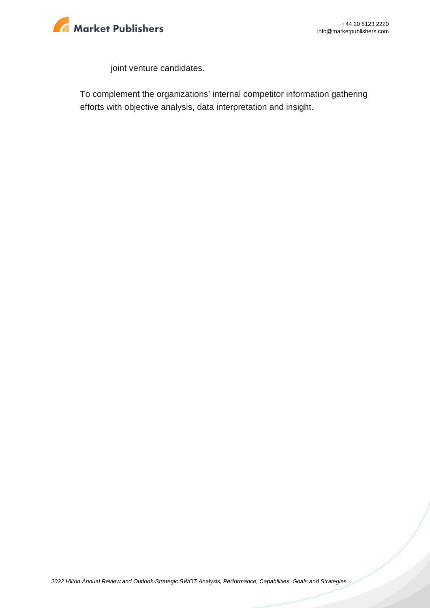

joint venture candidates.

To complement the organizations' internal competitor information gathering efforts with objective analysis, data interpretation and insight.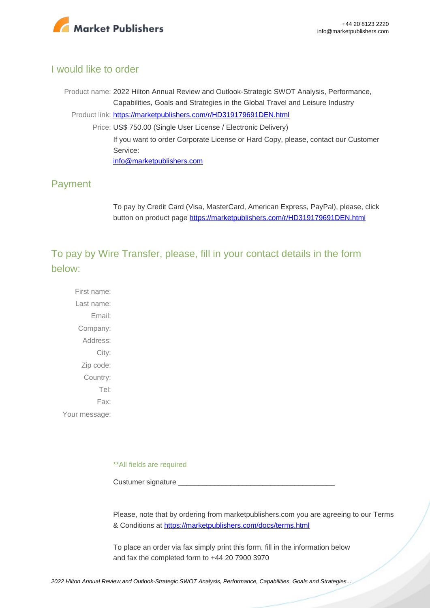

## I would like to order

Product name: 2022 Hilton Annual Review and Outlook-Strategic SWOT Analysis, Performance, Capabilities, Goals and Strategies in the Global Travel and Leisure Industry Product link: [https://marketpublishers.com/r/HD319179691DEN.html](https://marketpublishers.com/report/services/travel-leisure/hilton-annual-review-n-outlook-strategic-swot-analysis-performance-capabilities-goals-n-strategies-in-global-travel-n-leisure-industry.html) Price: US\$ 750.00 (Single User License / Electronic Delivery) If you want to order Corporate License or Hard Copy, please, contact our Customer Service: [info@marketpublishers.com](mailto:info@marketpublishers.com)

## Payment

To pay by Credit Card (Visa, MasterCard, American Express, PayPal), please, click button on product page [https://marketpublishers.com/r/HD319179691DEN.html](https://marketpublishers.com/report/services/travel-leisure/hilton-annual-review-n-outlook-strategic-swot-analysis-performance-capabilities-goals-n-strategies-in-global-travel-n-leisure-industry.html)

To pay by Wire Transfer, please, fill in your contact details in the form below:

First name: Last name: Email: Company: Address: City: Zip code: Country: Tel: Fax: Your message:

\*\*All fields are required

Custumer signature

Please, note that by ordering from marketpublishers.com you are agreeing to our Terms & Conditions at<https://marketpublishers.com/docs/terms.html>

To place an order via fax simply print this form, fill in the information below and fax the completed form to +44 20 7900 3970